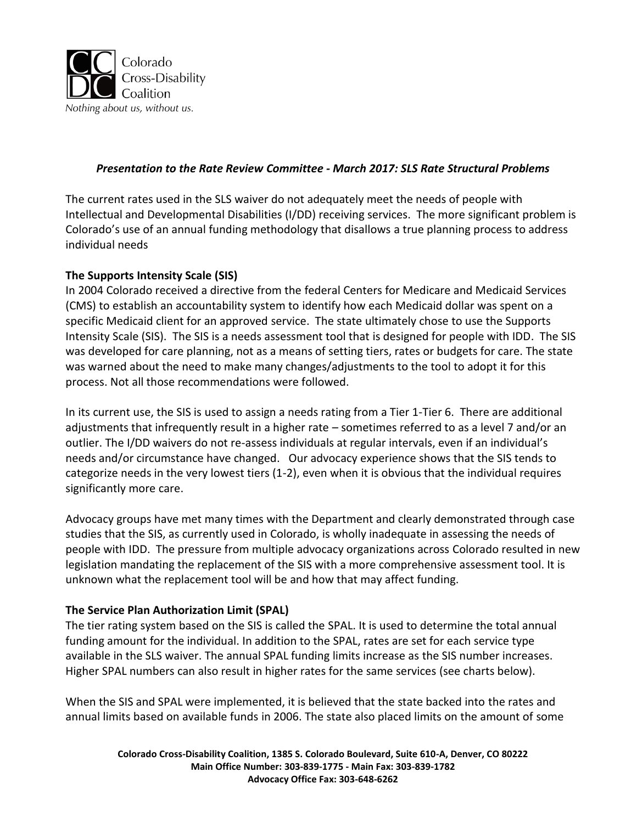

## *Presentation to the Rate Review Committee - March 2017: SLS Rate Structural Problems*

The current rates used in the SLS waiver do not adequately meet the needs of people with Intellectual and Developmental Disabilities (I/DD) receiving services. The more significant problem is Colorado's use of an annual funding methodology that disallows a true planning process to address individual needs

## **The Supports Intensity Scale (SIS)**

In 2004 Colorado received a directive from the federal Centers for Medicare and Medicaid Services (CMS) to establish an accountability system to identify how each Medicaid dollar was spent on a specific Medicaid client for an approved service. The state ultimately chose to use the Supports Intensity Scale (SIS). The SIS is a needs assessment tool that is designed for people with IDD. The SIS was developed for care planning, not as a means of setting tiers, rates or budgets for care. The state was warned about the need to make many changes/adjustments to the tool to adopt it for this process. Not all those recommendations were followed.

In its current use, the SIS is used to assign a needs rating from a Tier 1-Tier 6. There are additional adjustments that infrequently result in a higher rate – sometimes referred to as a level 7 and/or an outlier. The I/DD waivers do not re-assess individuals at regular intervals, even if an individual's needs and/or circumstance have changed. Our advocacy experience shows that the SIS tends to categorize needs in the very lowest tiers (1-2), even when it is obvious that the individual requires significantly more care.

Advocacy groups have met many times with the Department and clearly demonstrated through case studies that the SIS, as currently used in Colorado, is wholly inadequate in assessing the needs of people with IDD. The pressure from multiple advocacy organizations across Colorado resulted in new legislation mandating the replacement of the SIS with a more comprehensive assessment tool. It is unknown what the replacement tool will be and how that may affect funding.

## **The Service Plan Authorization Limit (SPAL)**

The tier rating system based on the SIS is called the SPAL. It is used to determine the total annual funding amount for the individual. In addition to the SPAL, rates are set for each service type available in the SLS waiver. The annual SPAL funding limits increase as the SIS number increases. Higher SPAL numbers can also result in higher rates for the same services (see charts below).

When the SIS and SPAL were implemented, it is believed that the state backed into the rates and annual limits based on available funds in 2006. The state also placed limits on the amount of some

> **Colorado Cross-Disability Coalition, 1385 S. Colorado Boulevard, Suite 610-A, Denver, CO 80222 Main Office Number: 303-839-1775 - Main Fax: 303-839-1782 Advocacy Office Fax: 303-648-6262**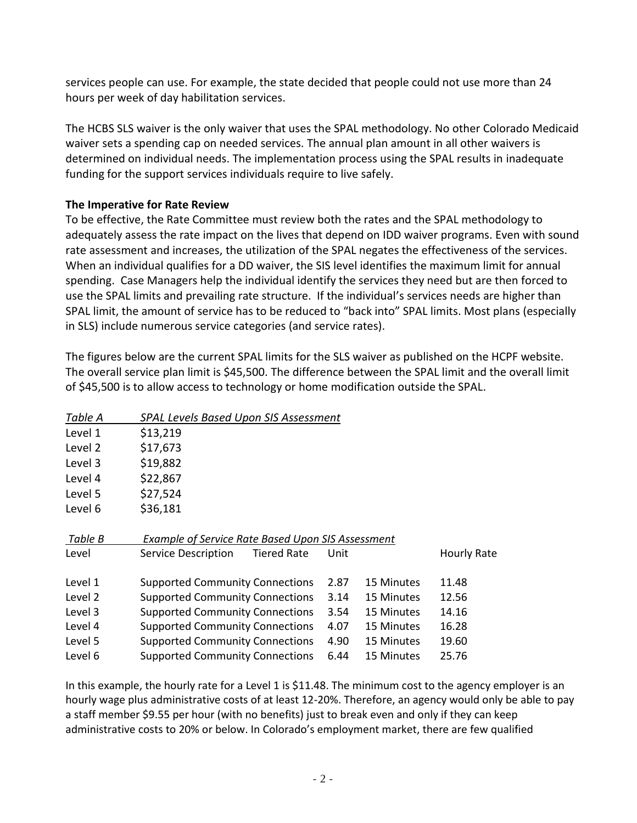services people can use. For example, the state decided that people could not use more than 24 hours per week of day habilitation services.

The HCBS SLS waiver is the only waiver that uses the SPAL methodology. No other Colorado Medicaid waiver sets a spending cap on needed services. The annual plan amount in all other waivers is determined on individual needs. The implementation process using the SPAL results in inadequate funding for the support services individuals require to live safely.

## **The Imperative for Rate Review**

To be effective, the Rate Committee must review both the rates and the SPAL methodology to adequately assess the rate impact on the lives that depend on IDD waiver programs. Even with sound rate assessment and increases, the utilization of the SPAL negates the effectiveness of the services. When an individual qualifies for a DD waiver, the SIS level identifies the maximum limit for annual spending. Case Managers help the individual identify the services they need but are then forced to use the SPAL limits and prevailing rate structure. If the individual's services needs are higher than SPAL limit, the amount of service has to be reduced to "back into" SPAL limits. Most plans (especially in SLS) include numerous service categories (and service rates).

The figures below are the current SPAL limits for the SLS waiver as published on the HCPF website. The overall service plan limit is \$45,500. The difference between the SPAL limit and the overall limit of \$45,500 is to allow access to technology or home modification outside the SPAL.

| Table A | <b>SPAL Levels Based Upon SIS Assessment</b>             |      |            |             |
|---------|----------------------------------------------------------|------|------------|-------------|
| Level 1 | \$13,219                                                 |      |            |             |
| Level 2 | \$17,673                                                 |      |            |             |
| Level 3 | \$19,882                                                 |      |            |             |
| Level 4 | \$22,867                                                 |      |            |             |
| Level 5 | \$27,524                                                 |      |            |             |
| Level 6 | \$36,181                                                 |      |            |             |
| Table B | <b>Example of Service Rate Based Upon SIS Assessment</b> |      |            |             |
| Level   | <b>Service Description</b><br><b>Tiered Rate</b>         | Unit |            | Hourly Rate |
| Level 1 | <b>Supported Community Connections</b>                   | 2.87 | 15 Minutes | 11.48       |
| Level 2 | <b>Supported Community Connections</b>                   | 3.14 | 15 Minutes | 12.56       |
| Level 3 | <b>Supported Community Connections</b>                   | 3.54 | 15 Minutes | 14.16       |
| Level 4 | <b>Supported Community Connections</b>                   | 4.07 | 15 Minutes | 16.28       |
| Level 5 | <b>Supported Community Connections</b>                   | 4.90 | 15 Minutes | 19.60       |
| Level 6 | <b>Supported Community Connections</b>                   | 6.44 | 15 Minutes | 25.76       |
|         |                                                          |      |            |             |

In this example, the hourly rate for a Level 1 is \$11.48. The minimum cost to the agency employer is an hourly wage plus administrative costs of at least 12-20%. Therefore, an agency would only be able to pay a staff member \$9.55 per hour (with no benefits) just to break even and only if they can keep administrative costs to 20% or below. In Colorado's employment market, there are few qualified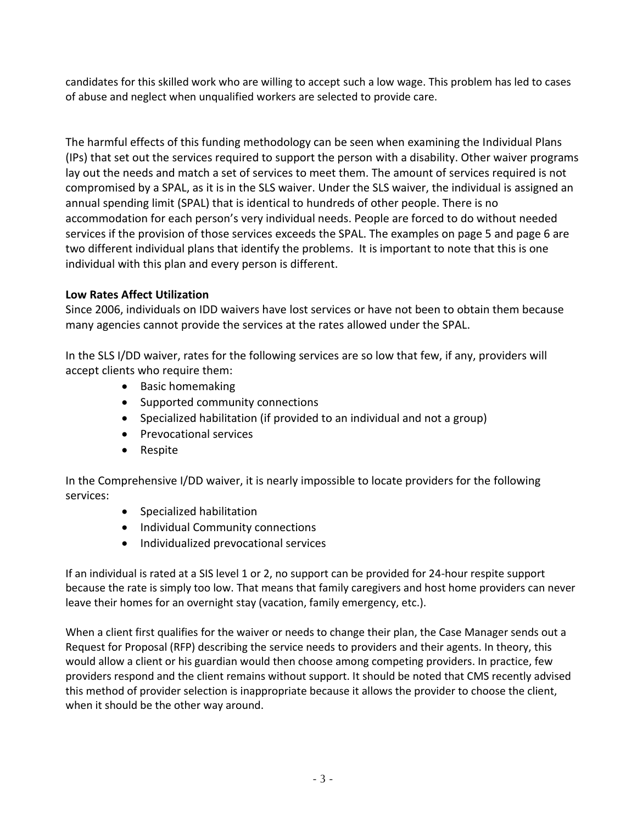candidates for this skilled work who are willing to accept such a low wage. This problem has led to cases of abuse and neglect when unqualified workers are selected to provide care.

The harmful effects of this funding methodology can be seen when examining the Individual Plans (IPs) that set out the services required to support the person with a disability. Other waiver programs lay out the needs and match a set of services to meet them. The amount of services required is not compromised by a SPAL, as it is in the SLS waiver. Under the SLS waiver, the individual is assigned an annual spending limit (SPAL) that is identical to hundreds of other people. There is no accommodation for each person's very individual needs. People are forced to do without needed services if the provision of those services exceeds the SPAL. The examples on page 5 and page 6 are two different individual plans that identify the problems. It is important to note that this is one individual with this plan and every person is different.

# **Low Rates Affect Utilization**

Since 2006, individuals on IDD waivers have lost services or have not been to obtain them because many agencies cannot provide the services at the rates allowed under the SPAL.

In the SLS I/DD waiver, rates for the following services are so low that few, if any, providers will accept clients who require them:

- Basic homemaking
- Supported community connections
- Specialized habilitation (if provided to an individual and not a group)
- Prevocational services
- Respite

In the Comprehensive I/DD waiver, it is nearly impossible to locate providers for the following services:

- Specialized habilitation
- Individual Community connections
- Individualized prevocational services

If an individual is rated at a SIS level 1 or 2, no support can be provided for 24-hour respite support because the rate is simply too low. That means that family caregivers and host home providers can never leave their homes for an overnight stay (vacation, family emergency, etc.).

When a client first qualifies for the waiver or needs to change their plan, the Case Manager sends out a Request for Proposal (RFP) describing the service needs to providers and their agents. In theory, this would allow a client or his guardian would then choose among competing providers. In practice, few providers respond and the client remains without support. It should be noted that CMS recently advised this method of provider selection is inappropriate because it allows the provider to choose the client, when it should be the other way around.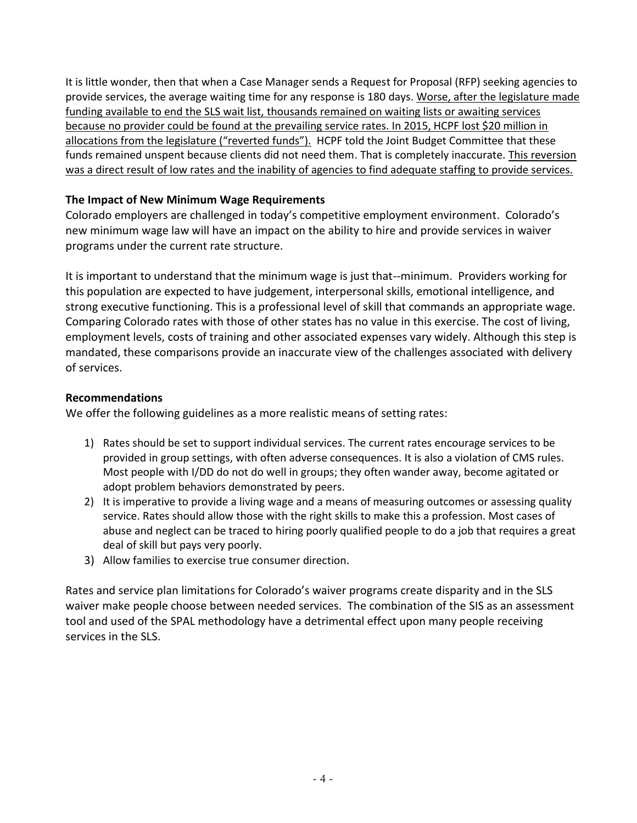It is little wonder, then that when a Case Manager sends a Request for Proposal (RFP) seeking agencies to provide services, the average waiting time for any response is 180 days. Worse, after the legislature made funding available to end the SLS wait list, thousands remained on waiting lists or awaiting services because no provider could be found at the prevailing service rates. In 2015, HCPF lost \$20 million in allocations from the legislature ("reverted funds"). HCPF told the Joint Budget Committee that these funds remained unspent because clients did not need them. That is completely inaccurate. This reversion was a direct result of low rates and the inability of agencies to find adequate staffing to provide services.

# **The Impact of New Minimum Wage Requirements**

Colorado employers are challenged in today's competitive employment environment. Colorado's new minimum wage law will have an impact on the ability to hire and provide services in waiver programs under the current rate structure.

It is important to understand that the minimum wage is just that--minimum. Providers working for this population are expected to have judgement, interpersonal skills, emotional intelligence, and strong executive functioning. This is a professional level of skill that commands an appropriate wage. Comparing Colorado rates with those of other states has no value in this exercise. The cost of living, employment levels, costs of training and other associated expenses vary widely. Although this step is mandated, these comparisons provide an inaccurate view of the challenges associated with delivery of services.

## **Recommendations**

We offer the following guidelines as a more realistic means of setting rates:

- 1) Rates should be set to support individual services. The current rates encourage services to be provided in group settings, with often adverse consequences. It is also a violation of CMS rules. Most people with I/DD do not do well in groups; they often wander away, become agitated or adopt problem behaviors demonstrated by peers.
- 2) It is imperative to provide a living wage and a means of measuring outcomes or assessing quality service. Rates should allow those with the right skills to make this a profession. Most cases of abuse and neglect can be traced to hiring poorly qualified people to do a job that requires a great deal of skill but pays very poorly.
- 3) Allow families to exercise true consumer direction.

Rates and service plan limitations for Colorado's waiver programs create disparity and in the SLS waiver make people choose between needed services. The combination of the SIS as an assessment tool and used of the SPAL methodology have a detrimental effect upon many people receiving services in the SLS.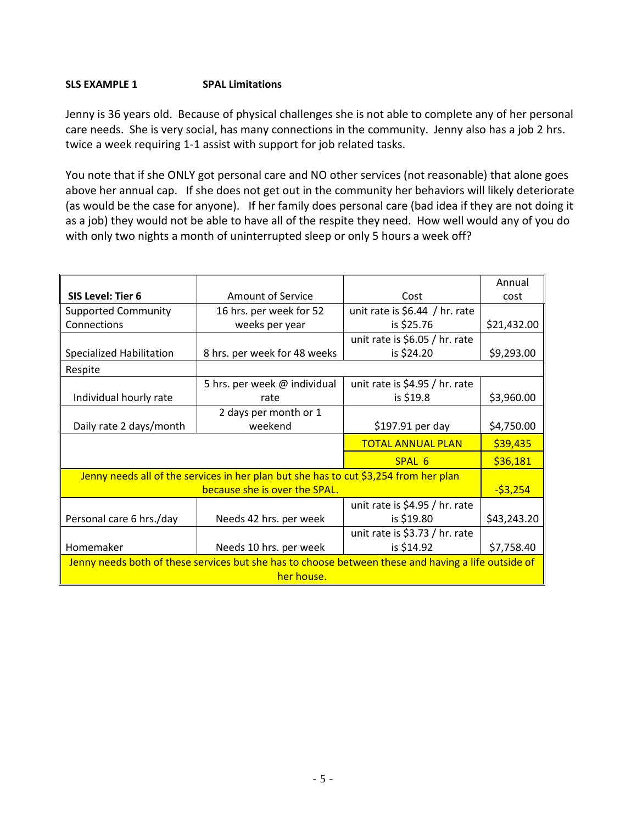#### **SLS EXAMPLE 1 SPAL Limitations**

Jenny is 36 years old. Because of physical challenges she is not able to complete any of her personal care needs. She is very social, has many connections in the community. Jenny also has a job 2 hrs. twice a week requiring 1-1 assist with support for job related tasks.

You note that if she ONLY got personal care and NO other services (not reasonable) that alone goes above her annual cap. If she does not get out in the community her behaviors will likely deteriorate (as would be the case for anyone). If her family does personal care (bad idea if they are not doing it as a job) they would not be able to have all of the respite they need. How well would any of you do with only two nights a month of uninterrupted sleep or only 5 hours a week off?

|                                                                                                     |                                                                                      |                                 | Annual      |  |  |
|-----------------------------------------------------------------------------------------------------|--------------------------------------------------------------------------------------|---------------------------------|-------------|--|--|
| <b>SIS Level: Tier 6</b>                                                                            | <b>Amount of Service</b>                                                             | Cost                            | cost        |  |  |
| <b>Supported Community</b>                                                                          | 16 hrs. per week for 52                                                              | unit rate is $$6.44$ / hr. rate |             |  |  |
| Connections                                                                                         | weeks per year                                                                       | is \$25.76                      | \$21,432.00 |  |  |
|                                                                                                     |                                                                                      | unit rate is \$6.05 / hr. rate  |             |  |  |
| Specialized Habilitation                                                                            | 8 hrs. per week for 48 weeks                                                         | is \$24.20                      | \$9,293.00  |  |  |
| Respite                                                                                             |                                                                                      |                                 |             |  |  |
|                                                                                                     | 5 hrs. per week @ individual                                                         | unit rate is $$4.95 / hr.$ rate |             |  |  |
| Individual hourly rate                                                                              | rate                                                                                 | is \$19.8                       | \$3,960.00  |  |  |
|                                                                                                     | 2 days per month or 1                                                                |                                 |             |  |  |
| Daily rate 2 days/month                                                                             | weekend                                                                              | \$197.91 per day                | \$4,750.00  |  |  |
|                                                                                                     |                                                                                      | <b>TOTAL ANNUAL PLAN</b>        | \$39,435    |  |  |
|                                                                                                     |                                                                                      | SPAL 6                          | \$36,181    |  |  |
|                                                                                                     | Jenny needs all of the services in her plan but she has to cut \$3,254 from her plan |                                 |             |  |  |
|                                                                                                     | because she is over the SPAL.                                                        |                                 | $-53,254$   |  |  |
|                                                                                                     |                                                                                      | unit rate is \$4.95 / hr. rate  |             |  |  |
| Personal care 6 hrs./day                                                                            | Needs 42 hrs. per week                                                               | is \$19.80                      | \$43,243.20 |  |  |
|                                                                                                     |                                                                                      | unit rate is \$3.73 / hr. rate  |             |  |  |
| Homemaker                                                                                           | Needs 10 hrs. per week                                                               | is \$14.92                      | \$7,758.40  |  |  |
| Jenny needs both of these services but she has to choose between these and having a life outside of |                                                                                      |                                 |             |  |  |
| her house.                                                                                          |                                                                                      |                                 |             |  |  |